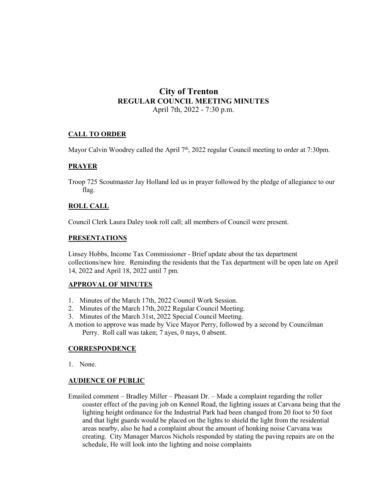# **City of Trenton REGULAR COUNCIL MEETING MINUTES** April 7th, 2022 - 7:30 p.m.

# **CALL TO ORDER**

Mayor Calvin Woodrey called the April  $7<sup>th</sup>$ , 2022 regular Council meeting to order at 7:30pm.

# **PRAYER**

Troop 725 Scoutmaster Jay Holland led us in prayer followed by the pledge of allegiance to our flag.

#### **ROLL CALL**

Council Clerk Laura Daley took roll call; all members of Council were present.

#### **PRESENTATIONS**

Linsey Hobbs, Income Tax Commissioner - Brief update about the tax department collections/new hire. Reminding the residents that the Tax department will be open late on April 14, 2022 and April 18, 2022 until 7 pm.

# **APPROVAL OF MINUTES**

- 1. Minutes of the March 17th, 2022 Council Work Session.
- 2. Minutes of the March 17th, 2022 Regular Council Meeting.
- 3. Minutes of the March 31st, 2022 Special Council Meeting.
- A motion to approve was made by Vice Mayor Perry, followed by a second by Councilman Perry. Roll call was taken; 7 ayes, 0 nays, 0 absent.

#### **CORRESPONDENCE**

1. None.

#### **AUDIENCE OF PUBLIC**

Emailed comment – Bradley Miller – Pheasant Dr. – Made a complaint regarding the roller coaster effect of the paving job on Kennel Road, the lighting issues at Carvana being that the lighting height ordinance for the Industrial Park had been changed from 20 foot to 50 foot and that light guards would be placed on the lights to shield the light from the residential areas nearby, also he had a complaint about the amount of honking noise Carvana was creating. City Manager Marcos Nichols responded by stating the paving repairs are on the schedule, He will look into the lighting and noise complaints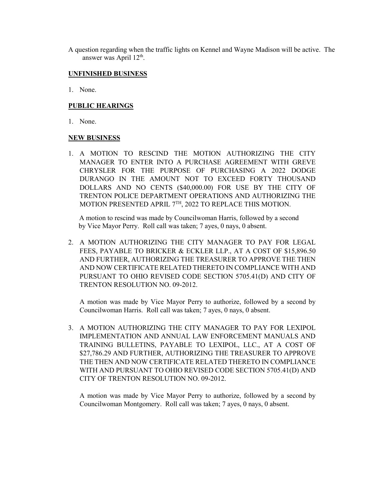A question regarding when the traffic lights on Kennel and Wayne Madison will be active. The answer was April 12<sup>th</sup>.

#### **UNFINISHED BUSINESS**

1. None.

# **PUBLIC HEARINGS**

1. None.

#### **NEW BUSINESS**

1. A MOTION TO RESCIND THE MOTION AUTHORIZING THE CITY MANAGER TO ENTER INTO A PURCHASE AGREEMENT WITH GREVE CHRYSLER FOR THE PURPOSE OF PURCHASING A 2022 DODGE DURANGO IN THE AMOUNT NOT TO EXCEED FORTY THOUSAND DOLLARS AND NO CENTS (\$40,000.00) FOR USE BY THE CITY OF TRENTON POLICE DEPARTMENT OPERATIONS AND AUTHORIZING THE MOTION PRESENTED APRIL 7<sup>TH</sup>, 2022 TO REPLACE THIS MOTION.

 A motion to rescind was made by Councilwoman Harris, followed by a second by Vice Mayor Perry. Roll call was taken; 7 ayes, 0 nays, 0 absent.

2. A MOTION AUTHORIZING THE CITY MANAGER TO PAY FOR LEGAL FEES, PAYABLE TO BRICKER & ECKLER LLP., AT A COST OF \$15,896.50 AND FURTHER, AUTHORIZING THE TREASURER TO APPROVE THE THEN AND NOW CERTIFICATE RELATED THERETO IN COMPLIANCE WITH AND PURSUANT TO OHIO REVISED CODE SECTION 5705.41(D) AND CITY OF TRENTON RESOLUTION NO. 09-2012.

A motion was made by Vice Mayor Perry to authorize, followed by a second by Councilwoman Harris. Roll call was taken; 7 ayes, 0 nays, 0 absent.

3. A MOTION AUTHORIZING THE CITY MANAGER TO PAY FOR LEXIPOL IMPLEMENTATION AND ANNUAL LAW ENFORCEMENT MANUALS AND TRAINING BULLETINS, PAYABLE TO LEXIPOL, LLC., AT A COST OF \$27,786.29 AND FURTHER, AUTHORIZING THE TREASURER TO APPROVE THE THEN AND NOW CERTIFICATE RELATED THERETO IN COMPLIANCE WITH AND PURSUANT TO OHIO REVISED CODE SECTION 5705.41(D) AND CITY OF TRENTON RESOLUTION NO. 09-2012.

A motion was made by Vice Mayor Perry to authorize, followed by a second by Councilwoman Montgomery. Roll call was taken; 7 ayes, 0 nays, 0 absent.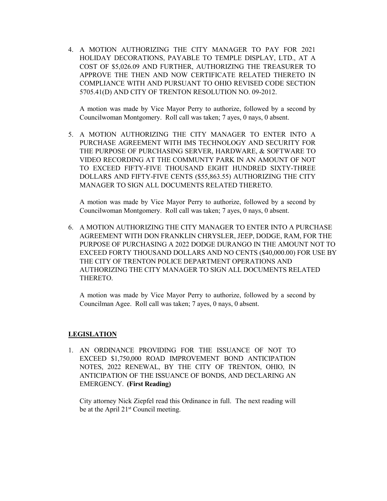4. A MOTION AUTHORIZING THE CITY MANAGER TO PAY FOR 2021 HOLIDAY DECORATIONS, PAYABLE TO TEMPLE DISPLAY, LTD., AT A COST OF \$5,026.09 AND FURTHER, AUTHORIZING THE TREASURER TO APPROVE THE THEN AND NOW CERTIFICATE RELATED THERETO IN COMPLIANCE WITH AND PURSUANT TO OHIO REVISED CODE SECTION 5705.41(D) AND CITY OF TRENTON RESOLUTION NO. 09-2012.

A motion was made by Vice Mayor Perry to authorize, followed by a second by Councilwoman Montgomery. Roll call was taken; 7 ayes, 0 nays, 0 absent.

5. A MOTION AUTHORIZING THE CITY MANAGER TO ENTER INTO A PURCHASE AGREEMENT WITH IMS TECHNOLOGY AND SECURITY FOR THE PURPOSE OF PURCHASING SERVER, HARDWARE, & SOFTWARE TO VIDEO RECORDING AT THE COMMUNTY PARK IN AN AMOUNT OF NOT TO EXCEED FIFTY-FIVE THOUSAND EIGHT HUNDRED SIXTY-THREE DOLLARS AND FIFTY-FIVE CENTS (\$55,863.55) AUTHORIZING THE CITY MANAGER TO SIGN ALL DOCUMENTS RELATED THERETO.

A motion was made by Vice Mayor Perry to authorize, followed by a second by Councilwoman Montgomery. Roll call was taken; 7 ayes, 0 nays, 0 absent.

6. A MOTION AUTHORIZING THE CITY MANAGER TO ENTER INTO A PURCHASE AGREEMENT WITH DON FRANKLIN CHRYSLER, JEEP, DODGE, RAM, FOR THE PURPOSE OF PURCHASING A 2022 DODGE DURANGO IN THE AMOUNT NOT TO EXCEED FORTY THOUSAND DOLLARS AND NO CENTS (\$40,000.00) FOR USE BY THE CITY OF TRENTON POLICE DEPARTMENT OPERATIONS AND AUTHORIZING THE CITY MANAGER TO SIGN ALL DOCUMENTS RELATED THERETO.

A motion was made by Vice Mayor Perry to authorize, followed by a second by Councilman Agee. Roll call was taken; 7 ayes, 0 nays, 0 absent.

# **LEGISLATION**

1. AN ORDINANCE PROVIDING FOR THE ISSUANCE OF NOT TO EXCEED \$1,750,000 ROAD IMPROVEMENT BOND ANTICIPATION NOTES, 2022 RENEWAL, BY THE CITY OF TRENTON, OHIO, IN ANTICIPATION OF THE ISSUANCE OF BONDS, AND DECLARING AN EMERGENCY. **(First Reading)**

City attorney Nick Ziepfel read this Ordinance in full. The next reading will be at the April 21<sup>st</sup> Council meeting.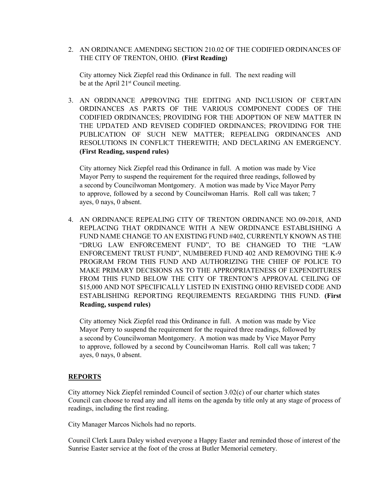2. AN ORDINANCE AMENDING SECTION 210.02 OF THE CODIFIED ORDINANCES OF THE CITY OF TRENTON, OHIO. **(First Reading)**

City attorney Nick Ziepfel read this Ordinance in full. The next reading will be at the April 21<sup>st</sup> Council meeting.

3. AN ORDINANCE APPROVING THE EDITING AND INCLUSION OF CERTAIN ORDINANCES AS PARTS OF THE VARIOUS COMPONENT CODES OF THE CODIFIED ORDINANCES; PROVIDING FOR THE ADOPTION OF NEW MATTER IN THE UPDATED AND REVISED CODIFIED ORDINANCES; PROVIDING FOR THE PUBLICATION OF SUCH NEW MATTER; REPEALING ORDINANCES AND RESOLUTIONS IN CONFLICT THEREWITH; AND DECLARING AN EMERGENCY. **(First Reading, suspend rules)**

City attorney Nick Ziepfel read this Ordinance in full. A motion was made by Vice Mayor Perry to suspend the requirement for the required three readings, followed by a second by Councilwoman Montgomery. A motion was made by Vice Mayor Perry to approve, followed by a second by Councilwoman Harris. Roll call was taken; 7 ayes, 0 nays, 0 absent.

4. AN ORDINANCE REPEALING CITY OF TRENTON ORDINANCE NO. 09-2018, AND REPLACING THAT ORDINANCE WITH A NEW ORDINANCE ESTABLISHING A FUND NAME CHANGE TO AN EXISTING FUND #402, CURRENTLY KNOWN AS THE "DRUG LAW ENFORCEMENT FUND", TO BE CHANGED TO THE "LAW ENFORCEMENT TRUST FUND", NUMBERED FUND 402 AND REMOVING THE K-9 PROGRAM FROM THIS FUND AND AUTHORIZING THE CHIEF OF POLICE TO MAKE PRIMARY DECISIONS AS TO THE APPROPRIATENESS OF EXPENDITURES FROM THIS FUND BELOW THE CITY OF TRENTON'S APPROVAL CEILING OF \$15,000 AND NOT SPECIFICALLY LISTED IN EXISTING OHIO REVISED CODE AND ESTABLISHING REPORTING REQUIREMENTS REGARDING THIS FUND. **(First Reading, suspend rules)**

City attorney Nick Ziepfel read this Ordinance in full. A motion was made by Vice Mayor Perry to suspend the requirement for the required three readings, followed by a second by Councilwoman Montgomery. A motion was made by Vice Mayor Perry to approve, followed by a second by Councilwoman Harris. Roll call was taken; 7 ayes, 0 nays, 0 absent.

#### **REPORTS**

City attorney Nick Ziepfel reminded Council of section 3.02(c) of our charter which states Council can choose to read any and all items on the agenda by title only at any stage of process of readings, including the first reading.

City Manager Marcos Nichols had no reports.

Council Clerk Laura Daley wished everyone a Happy Easter and reminded those of interest of the Sunrise Easter service at the foot of the cross at Butler Memorial cemetery.